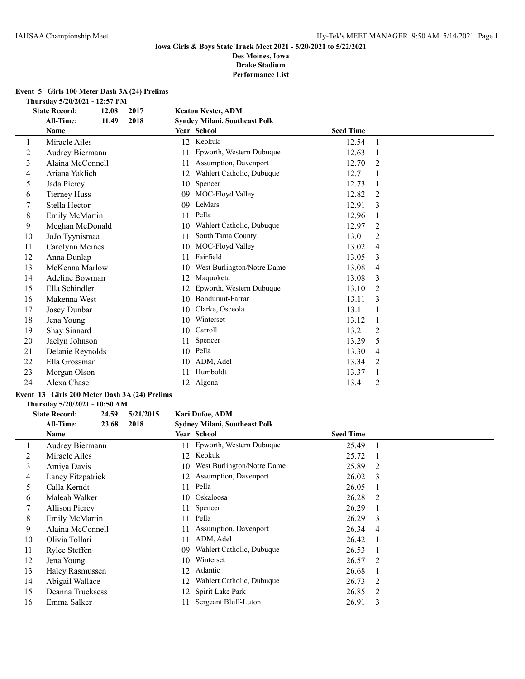# **Event 5 Girls 100 Meter Dash 3A (24) Prelims**

**Thursday 5/20/2021 - 12:57 PM**

| <b>State Record:</b> | 12.08 | 2017                                                                                                                                                                                                                                                                                                                                         |    |                            |                                                                                        |   |
|----------------------|-------|----------------------------------------------------------------------------------------------------------------------------------------------------------------------------------------------------------------------------------------------------------------------------------------------------------------------------------------------|----|----------------------------|----------------------------------------------------------------------------------------|---|
| <b>All-Time:</b>     | 11.49 | 2018                                                                                                                                                                                                                                                                                                                                         |    |                            |                                                                                        |   |
| <b>Name</b>          |       |                                                                                                                                                                                                                                                                                                                                              |    |                            | <b>Seed Time</b>                                                                       |   |
|                      |       |                                                                                                                                                                                                                                                                                                                                              |    | Keokuk                     | 12.54                                                                                  | 1 |
|                      |       |                                                                                                                                                                                                                                                                                                                                              | 11 | Epworth, Western Dubuque   | 12.63                                                                                  | 1 |
|                      |       |                                                                                                                                                                                                                                                                                                                                              | 11 | Assumption, Davenport      | 12.70                                                                                  | 2 |
|                      |       |                                                                                                                                                                                                                                                                                                                                              | 12 | Wahlert Catholic, Dubuque  | 12.71                                                                                  | 1 |
| Jada Piercy          |       |                                                                                                                                                                                                                                                                                                                                              | 10 | Spencer                    | 12.73                                                                                  | 1 |
| <b>Tierney Huss</b>  |       |                                                                                                                                                                                                                                                                                                                                              | 09 | MOC-Floyd Valley           | 12.82                                                                                  | 2 |
| Stella Hector        |       |                                                                                                                                                                                                                                                                                                                                              | 09 | LeMars                     | 12.91                                                                                  | 3 |
|                      |       |                                                                                                                                                                                                                                                                                                                                              | 11 | Pella                      | 12.96                                                                                  | 1 |
|                      |       |                                                                                                                                                                                                                                                                                                                                              | 10 | Wahlert Catholic, Dubuque  | 12.97                                                                                  | 2 |
|                      |       |                                                                                                                                                                                                                                                                                                                                              | 11 | South Tama County          | 13.01                                                                                  | 2 |
|                      |       |                                                                                                                                                                                                                                                                                                                                              | 10 | MOC-Floyd Valley           | 13.02                                                                                  | 4 |
|                      |       |                                                                                                                                                                                                                                                                                                                                              | 11 | Fairfield                  | 13.05                                                                                  | 3 |
|                      |       |                                                                                                                                                                                                                                                                                                                                              | 10 | West Burlington/Notre Dame | 13.08                                                                                  | 4 |
|                      |       |                                                                                                                                                                                                                                                                                                                                              | 12 | Maquoketa                  | 13.08                                                                                  | 3 |
|                      |       |                                                                                                                                                                                                                                                                                                                                              | 12 | Epworth, Western Dubuque   | 13.10                                                                                  | 2 |
|                      |       |                                                                                                                                                                                                                                                                                                                                              | 10 | Bondurant-Farrar           | 13.11                                                                                  | 3 |
|                      |       |                                                                                                                                                                                                                                                                                                                                              | 10 | Clarke, Osceola            | 13.11                                                                                  |   |
| Jena Young           |       |                                                                                                                                                                                                                                                                                                                                              | 10 | Winterset                  | 13.12                                                                                  |   |
|                      |       |                                                                                                                                                                                                                                                                                                                                              | 10 | Carroll                    | 13.21                                                                                  | 2 |
|                      |       |                                                                                                                                                                                                                                                                                                                                              | 11 | Spencer                    | 13.29                                                                                  | 5 |
|                      |       |                                                                                                                                                                                                                                                                                                                                              | 10 | Pella                      | 13.30                                                                                  | 4 |
|                      |       |                                                                                                                                                                                                                                                                                                                                              | 10 | ADM, Adel                  | 13.34                                                                                  | 2 |
|                      |       |                                                                                                                                                                                                                                                                                                                                              | 11 | Humboldt                   | 13.37                                                                                  | 1 |
| Alexa Chase          |       |                                                                                                                                                                                                                                                                                                                                              | 12 | Algona                     | 13.41                                                                                  | 2 |
|                      |       | Miracle Ailes<br>Audrey Biermann<br>Alaina McConnell<br>Ariana Yaklich<br>Emily McMartin<br>Meghan McDonald<br>JoJo Tyynismaa<br>Carolynn Meines<br>Anna Dunlap<br>McKenna Marlow<br>Adeline Bowman<br>Ella Schindler<br>Makenna West<br>Josey Dunbar<br>Shay Sinnard<br>Jaelyn Johnson<br>Delanie Reynolds<br>Ella Grossman<br>Morgan Olson |    |                            | <b>Keaton Kester, ADM</b><br><b>Syndey Milani, Southeast Polk</b><br>Year School<br>12 |   |

# **Event 13 Girls 200 Meter Dash 3A (24) Prelims**

#### **Thursday 5/20/2021 - 10:50 AM**

 $\overline{\phantom{0}}$ 

# **State Record: 24.59 5/21/2015 Kari Dufoe, ADM All-Time: 23.68 2018 Sydney Milani, Southeast Polk**

|    | Name                   |                 | Year School                 | <b>Seed Time</b> |                |
|----|------------------------|-----------------|-----------------------------|------------------|----------------|
|    | Audrey Biermann        |                 | 11 Epworth, Western Dubuque | 25.49            |                |
| 2  | Miracle Ailes          |                 | 12 Keokuk                   | 25.72            |                |
| 3  | Amiya Davis            | 10              | West Burlington/Notre Dame  | 25.89            | -2             |
| 4  | Laney Fitzpatrick      |                 | 12 Assumption, Davenport    | 26.02            | -3             |
| 5  | Calla Kerndt           | 11              | Pella                       | 26.05            | - 1            |
| 6  | Maleah Walker          | 10              | Oskaloosa                   | 26.28            | -2             |
|    | <b>Allison Piercy</b>  | 11              | Spencer                     | 26.29            |                |
| 8  | Emily McMartin         | 11              | Pella                       | 26.29            | -3             |
| 9  | Alaina McConnell       |                 | Assumption, Davenport       | 26.34            | $\overline{4}$ |
| 10 | Olivia Tollari         | 11              | ADM, Adel                   | 26.42            | - 1            |
| 11 | Rylee Steffen          | 09 <sup>°</sup> | Wahlert Catholic, Dubuque   | 26.53            |                |
| 12 | Jena Young             | 10              | Winterset                   | 26.57            | -2             |
| 13 | <b>Haley Rasmussen</b> |                 | 12 Atlantic                 | 26.68            |                |
| 14 | Abigail Wallace        | 12              | Wahlert Catholic, Dubuque   | 26.73            | -2             |
| 15 | Deanna Trucksess       | 12              | Spirit Lake Park            | 26.85            | 2              |
| 16 | Emma Salker            |                 | Sergeant Bluff-Luton        | 26.91            | 3              |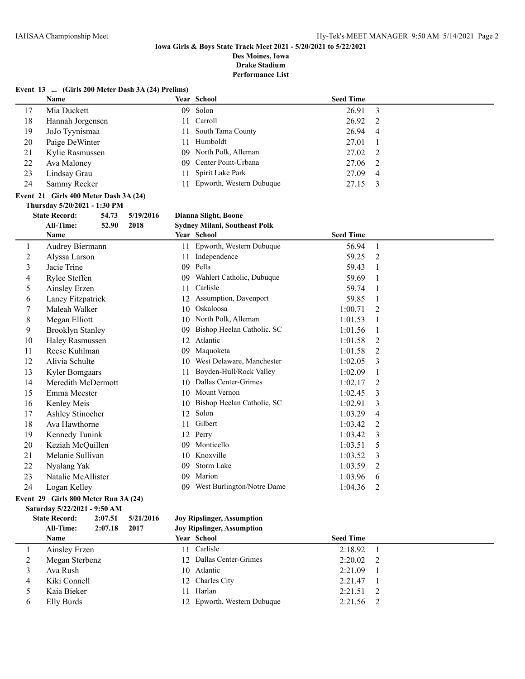# **Iowa Girls & Boys State Track Meet 2021 - 5/20/2021 to 5/22/2021**

**Des Moines, Iowa Drake Stadium**

**Performance List**

|    | Event 13  (Girls 200 Meter Dash 3A (24) Prelims) |     |                             |                  |  |
|----|--------------------------------------------------|-----|-----------------------------|------------------|--|
|    | Name                                             |     | <b>Year School</b>          | <b>Seed Time</b> |  |
| 17 | Mia Duckett                                      |     | 09 Solon                    | 26.91 3          |  |
| 18 | Hannah Jorgensen                                 |     | 11 Carroll                  | $26.92 \quad 2$  |  |
| 19 | JoJo Tyynismaa                                   |     | 11 South Tama County        | 26.94 4          |  |
| 20 | Paige DeWinter                                   | 11. | Humboldt                    | 27.01            |  |
| 21 | Kylie Rasmussen                                  |     | 09 North Polk, Alleman      | 27.02 2          |  |
| 22 | Ava Maloney                                      |     | 09 Center Point-Urbana      | 27.06 2          |  |
| 23 | Lindsay Grau                                     |     | 11 Spirit Lake Park         | 27.09 4          |  |
| 24 | Sammy Recker                                     |     | 11 Epworth, Western Dubuque | 27.15 3          |  |
|    | Event 21 Girls 400 Meter Dash $3A(24)$           |     |                             |                  |  |
|    |                                                  |     |                             |                  |  |

## **Thursday 5/20/2021 - 1:30 PM State Record: 54.73 5/19/2016 Dianna Slight, Boone**

|    | <b>All-Time:</b><br>52.90<br>2018             | <b>Sydney Milani, Southeast Polk</b> |                  |
|----|-----------------------------------------------|--------------------------------------|------------------|
|    | Name                                          | Year School                          | <b>Seed Time</b> |
| 1  | Audrey Biermann                               | Epworth, Western Dubuque<br>11       | 56.94<br>1       |
| 2  | Alyssa Larson                                 | Independence<br>11                   | 59.25<br>2       |
| 3  | Jacie Trine                                   | Pella<br>09                          | 59.43<br>1       |
| 4  | Rylee Steffen                                 | Wahlert Catholic, Dubuque<br>09      | 59.69<br>1       |
| 5  | Ainsley Erzen                                 | Carlisle<br>11                       | 59.74<br>1       |
| 6  | Laney Fitzpatrick                             | Assumption, Davenport<br>12          | 59.85<br>1       |
| 7  | Maleah Walker                                 | Oskaloosa<br>10                      | 1:00.71<br>2     |
| 8  | Megan Elliott                                 | North Polk, Alleman<br>10            | 1:01.53<br>1     |
| 9  | <b>Brooklyn Stanley</b>                       | Bishop Heelan Catholic, SC<br>09     | 1:01.56<br>1     |
| 10 | Haley Rasmussen                               | Atlantic<br>12                       | 1:01.58<br>2     |
| 11 | Reese Kuhlman                                 | Maquoketa<br>09                      | 1:01.58<br>2     |
| 12 | Alivia Schulte                                | West Delaware, Manchester<br>10      | 1:02.05<br>3     |
| 13 | <b>Kyler Bomgaars</b>                         | Boyden-Hull/Rock Valley<br>11        | 1:02.09<br>1     |
| 14 | Meredith McDermott                            | Dallas Center-Grimes<br>10           | 1:02.17<br>2     |
| 15 | Emma Meester                                  | Mount Vernon<br>10                   | 1:02.45<br>3     |
| 16 | Kenley Meis                                   | Bishop Heelan Catholic, SC<br>10     | 1:02.91<br>3     |
| 17 | Ashley Stinocher                              | Solon<br>12                          | 1:03.29<br>4     |
| 18 | Ava Hawthorne                                 | Gilbert<br>11                        | 1:03.42<br>2     |
| 19 | Kennedy Tunink                                | Perry<br>12                          | 1:03.42<br>3     |
| 20 | Keziah McQuillen                              | Monticello<br>09                     | 1:03.51<br>5     |
| 21 | Melanie Sullivan                              | Knoxville<br>10                      | 1:03.52<br>3     |
| 22 | Nyalang Yak                                   | Storm Lake<br>09                     | 1:03.59<br>2     |
| 23 | Natalie McAllister                            | Marion<br>09                         | 1:03.96<br>6     |
| 24 | Logan Kelley                                  | West Burlington/Notre Dame<br>09     | 1:04.36<br>2     |
|    | $Fvan$ 10 $Fcirc$ Cirls 800 Mator Run 34 (24) |                                      |                  |

#### **Event 29 Girls 800 Meter Run 3A (24) Saturday 5/22/2021 - 9:50 AM**

# **State Record: 2:07.51 5/21/2016 Joy Ripslinger, Assumption**

**All-Time: 2:07.18 2017 Joy Ripslinger, Assumption Name Year School Seed Time** Ainsley Erzen 11 Carlisle 2:18.92 1 Megan Sterbenz 12 Dallas Center-Grimes 2:20.02 2 Ava Rush 10 Atlantic 2:21.09 1 Kiki Connell 12 Charles City 2:21.47 1 Kaia Bieker 11 Harlan 2:21.51 2 Elly Burds 12 Epworth, Western Dubuque 2:21.56 2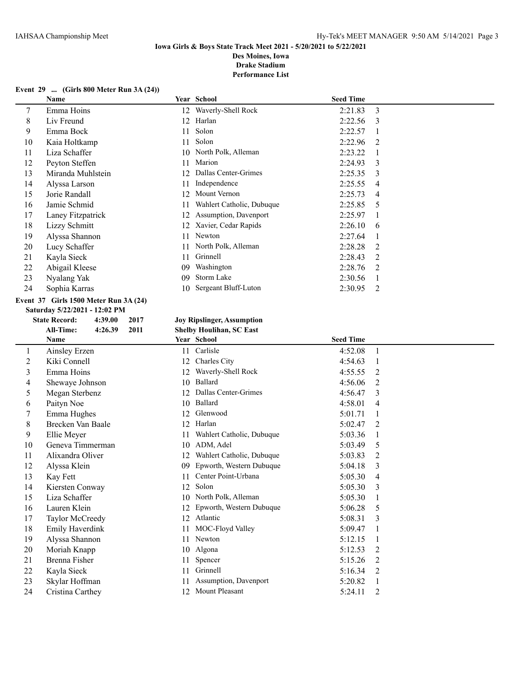# **Iowa Girls & Boys State Track Meet 2021 - 5/20/2021 to 5/22/2021 Des Moines, Iowa**

**Drake Stadium Performance List**

#### **Event 29 ... (Girls 800 Meter Run 3A (24))**

|    | Name              |    | Year School               | <b>Seed Time</b> |               |
|----|-------------------|----|---------------------------|------------------|---------------|
| 7  | Emma Hoins        | 12 | Waverly-Shell Rock        | 2:21.83          | 3             |
| 8  | Liv Freund        | 12 | Harlan                    | 2:22.56          | 3             |
| 9  | Emma Bock         | 11 | Solon                     | 2:22.57          |               |
| 10 | Kaia Holtkamp     | 11 | Solon                     | 2:22.96          | $\mathcal{L}$ |
| 11 | Liza Schaffer     | 10 | North Polk, Alleman       | 2:23.22          |               |
| 12 | Peyton Steffen    | 11 | Marion                    | 2:24.93          | 3             |
| 13 | Miranda Muhlstein | 12 | Dallas Center-Grimes      | 2:25.35          | 3             |
| 14 | Alyssa Larson     | 11 | Independence              | 2:25.55          | 4             |
| 15 | Jorie Randall     | 12 | Mount Vernon              | 2:25.73          | 4             |
| 16 | Jamie Schmid      | 11 | Wahlert Catholic, Dubuque | 2:25.85          | 5             |
| 17 | Laney Fitzpatrick | 12 | Assumption, Davenport     | 2:25.97          |               |
| 18 | Lizzy Schmitt     | 12 | Xavier, Cedar Rapids      | 2:26.10          | 6             |
| 19 | Alyssa Shannon    | 11 | Newton                    | 2:27.64          |               |
| 20 | Lucy Schaffer     | 11 | North Polk, Alleman       | 2:28.28          | $\mathcal{L}$ |
| 21 | Kayla Sieck       | 11 | Grinnell                  | 2:28.43          | 2             |
| 22 | Abigail Kleese    | 09 | Washington                | 2:28.76          | 2             |
| 23 | Nyalang Yak       | 09 | Storm Lake                | 2:30.56          |               |
| 24 | Sophia Karras     | 10 | Sergeant Bluff-Luton      | 2:30.95          | 2             |

## **Event 37 Girls 1500 Meter Run 3A (24)**

| Saturday 5/22/2021 - 12:02 PM |                      |         |      |  |  |  |  |  |  |
|-------------------------------|----------------------|---------|------|--|--|--|--|--|--|
|                               | <b>State Record:</b> | 4:39.00 | 2017 |  |  |  |  |  |  |
|                               | All-Time:            | 4:26.39 | 2011 |  |  |  |  |  |  |
|                               | <b>Name</b>          |         |      |  |  |  |  |  |  |
|                               | Ainsley Erzen        |         |      |  |  |  |  |  |  |
| $\mathcal{D}_{\mathcal{L}}$   | Kiki Connell         |         |      |  |  |  |  |  |  |
| 3                             | Emma Hoins           |         |      |  |  |  |  |  |  |

# **State Record: 4:39.00 2017 Joy Ripslinger, Assumption**

# $\delta$ **Shelby Houlihan, SC East**

|    | Name              |    | Year School               | <b>Seed Time</b> |                |
|----|-------------------|----|---------------------------|------------------|----------------|
| 1  | Ainsley Erzen     | 11 | Carlisle                  | 4:52.08          | $\mathbf{1}$   |
| 2  | Kiki Connell      | 12 | Charles City              | 4:54.63          |                |
| 3  | Emma Hoins        | 12 | Waverly-Shell Rock        | 4:55.55          | 2              |
| 4  | Shewaye Johnson   | 10 | Ballard                   | 4:56.06          | $\overline{2}$ |
| 5  | Megan Sterbenz    | 12 | Dallas Center-Grimes      | 4:56.47          | 3              |
| 6  | Paityn Noe        | 10 | Ballard                   | 4:58.01          | 4              |
| 7  | Emma Hughes       | 12 | Glenwood                  | 5:01.71          |                |
| 8  | Brecken Van Baale | 12 | Harlan                    | 5:02.47          | 2              |
| 9  | Ellie Meyer       |    | Wahlert Catholic, Dubuque | 5:03.36          |                |
| 10 | Geneva Timmerman  | 10 | ADM, Adel                 | 5:03.49          | 5              |
| 11 | Alixandra Oliver  | 12 | Wahlert Catholic, Dubuque | 5:03.83          | 2              |
| 12 | Alyssa Klein      | 09 | Epworth, Western Dubuque  | 5:04.18          | 3              |
| 13 | Kay Fett          |    | Center Point-Urbana       | 5:05.30          | 4              |
| 14 | Kiersten Conway   | 12 | Solon                     | 5:05.30          | 3              |
| 15 | Liza Schaffer     | 10 | North Polk, Alleman       | 5:05.30          |                |
| 16 | Lauren Klein      |    | Epworth, Western Dubuque  | 5:06.28          | 5              |
| 17 | Taylor McCreedy   | 12 | Atlantic                  | 5:08.31          | 3              |
| 18 | Emily Haverdink   |    | MOC-Floyd Valley          | 5:09.47          |                |
| 19 | Alyssa Shannon    | 11 | Newton                    | 5:12.15          |                |
| 20 | Moriah Knapp      | 10 | Algona                    | 5:12.53          | 2              |
| 21 | Brenna Fisher     |    | Spencer                   | 5:15.26          | 2              |
| 22 | Kayla Sieck       | 11 | Grinnell                  | 5:16.34          | 2              |
| 23 | Skylar Hoffman    |    | Assumption, Davenport     | 5:20.82          |                |
| 24 | Cristina Carthey  | 12 | Mount Pleasant            | 5:24.11          | 2              |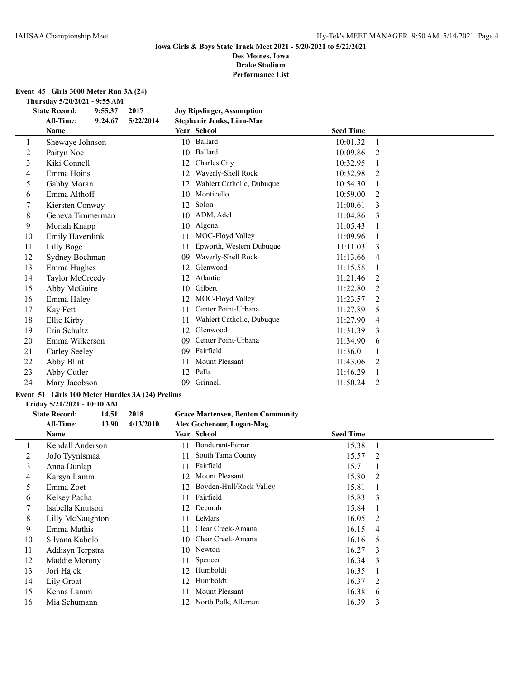# **Event 45 Girls 3000 Meter Run 3A (24)**

**Thursday 5/20/2021 - 9:55 AM**

| <b>State Record:</b><br>9:55.37<br>2017 |                        |         |           |    | <b>Joy Ripslinger, Assumption</b> |                  |   |
|-----------------------------------------|------------------------|---------|-----------|----|-----------------------------------|------------------|---|
|                                         | <b>All-Time:</b>       | 9:24.67 | 5/22/2014 |    | Stephanie Jenks, Linn-Mar         |                  |   |
|                                         | Name                   |         |           |    | Year School                       | <b>Seed Time</b> |   |
| 1                                       | Shewaye Johnson        |         |           | 10 | Ballard                           | 10:01.32         | 1 |
| 2                                       | Paityn Noe             |         |           | 10 | Ballard                           | 10:09.86         | 2 |
| 3                                       | Kiki Connell           |         |           | 12 | Charles City                      | 10:32.95         |   |
| 4                                       | Emma Hoins             |         |           | 12 | Waverly-Shell Rock                | 10:32.98         | 2 |
| 5                                       | Gabby Moran            |         |           | 12 | Wahlert Catholic, Dubuque         | 10:54.30         |   |
| 6                                       | Emma Althoff           |         |           | 10 | Monticello                        | 10:59.00         | 2 |
| 7                                       | Kiersten Conway        |         |           | 12 | Solon                             | 11:00.61         | 3 |
| 8                                       | Geneva Timmerman       |         |           | 10 | ADM, Adel                         | 11:04.86         | 3 |
| 9                                       | Moriah Knapp           |         |           | 10 | Algona                            | 11:05.43         |   |
| 10                                      | <b>Emily Haverdink</b> |         |           | 11 | MOC-Floyd Valley                  | 11:09.96         |   |
| 11                                      | Lilly Boge             |         |           | 11 | Epworth, Western Dubuque          | 11:11.03         | 3 |
| 12                                      | Sydney Bochman         |         |           | 09 | Waverly-Shell Rock                | 11:13.66         | 4 |
| 13                                      | Emma Hughes            |         |           | 12 | Glenwood                          | 11:15.58         |   |
| 14                                      | Taylor McCreedy        |         |           | 12 | Atlantic                          | 11:21.46         | 2 |
| 15                                      | Abby McGuire           |         |           | 10 | Gilbert                           | 11:22.80         | 2 |
| 16                                      | Emma Haley             |         |           | 12 | MOC-Floyd Valley                  | 11:23.57         | 2 |
| 17                                      | Kay Fett               |         |           | 11 | Center Point-Urbana               | 11:27.89         | 5 |
| 18                                      | Ellie Kirby            |         |           | 11 | Wahlert Catholic, Dubuque         | 11:27.90         | 4 |
| 19                                      | Erin Schultz           |         |           | 12 | Glenwood                          | 11:31.39         | 3 |
| 20                                      | Emma Wilkerson         |         |           | 09 | Center Point-Urbana               | 11:34.90         | 6 |
| 21                                      | Carley Seeley          |         |           | 09 | Fairfield                         | 11:36.01         |   |
| 22                                      | Abby Blint             |         |           | 11 | <b>Mount Pleasant</b>             | 11:43.06         | 2 |
| 23                                      | Abby Cutler            |         |           | 12 | Pella                             | 11:46.29         |   |
| 24                                      | Mary Jacobson          |         |           | 09 | Grinnell                          | 11:50.24         | 2 |

# **Event 51 Girls 100 Meter Hurdles 3A (24) Prelims**

#### **Friday 5/21/2021 - 10:10 AM**

## **State Record: 14.51 2018 Grace Martensen, Benton Community All-Time: 13.90 4/13/2010 Alex Gochenour, Logan-Mag.**

|    | <b>Name</b>      |     | Year School             | <b>Seed Time</b> |                         |
|----|------------------|-----|-------------------------|------------------|-------------------------|
|    | Kendall Anderson | 11  | Bondurant-Farrar        | 15.38            |                         |
| 2  | JoJo Tyynismaa   | 11  | South Tama County       | 15.57            | $\overline{2}$          |
| 3  | Anna Dunlap      | 11  | Fairfield               | 15.71            |                         |
| 4  | Karsyn Lamm      | 12. | Mount Pleasant          | 15.80            | 2                       |
| 5  | Emma Zoet        | 12  | Boyden-Hull/Rock Valley | 15.81            |                         |
| 6  | Kelsey Pacha     | 11  | Fairfield               | 15.83            | $\overline{\mathbf{3}}$ |
| 7  | Isabella Knutson |     | 12 Decorah              | 15.84            |                         |
| 8  | Lilly McNaughton | 11  | LeMars                  | 16.05            | 2                       |
| 9  | Emma Mathis      | 11  | Clear Creek-Amana       | 16.15            | $\overline{4}$          |
| 10 | Silvana Kabolo   |     | 10 Clear Creek-Amana    | 16.16            | $\overline{5}$          |
| 11 | Addisyn Terpstra |     | 10 Newton               | 16.27            | 3                       |
| 12 | Maddie Morony    |     | 11 Spencer              | 16.34 3          |                         |
| 13 | Jori Hajek       | 12. | Humboldt                | 16.35            |                         |
| 14 | Lily Groat       | 12. | Humboldt                | 16.37            | 2                       |
| 15 | Kenna Lamm       | 11  | Mount Pleasant          | 16.38            | 6                       |
| 16 | Mia Schumann     |     | 12 North Polk, Alleman  | 16.39            | 3                       |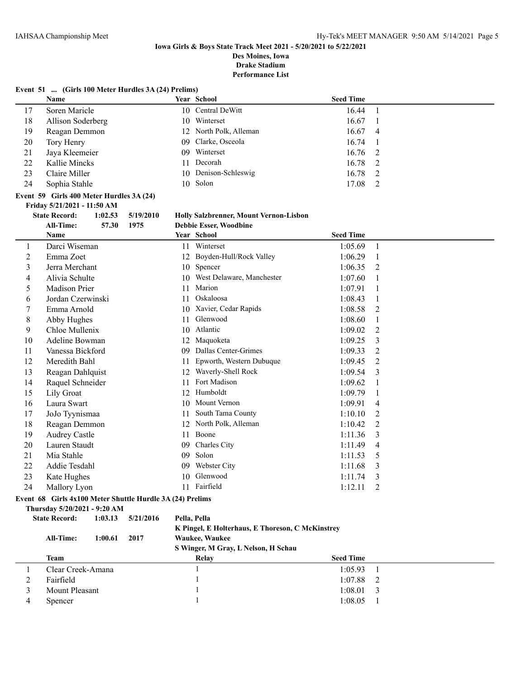# **Iowa Girls & Boys State Track Meet 2021 - 5/20/2021 to 5/22/2021 Des Moines, Iowa**

**Drake Stadium**

**Performance List**

# **Event 51 ... (Girls 100 Meter Hurdles 3A (24) Prelims)**

|    | <b>Name</b>       |     | Year School            | <b>Seed Time</b> |        |
|----|-------------------|-----|------------------------|------------------|--------|
|    | Soren Maricle     |     | 10 Central DeWitt      | 16.44            |        |
| 18 | Allison Soderberg |     | 10 Winterset           | 16.67            |        |
| 19 | Reagan Demmon     |     | 12 North Polk, Alleman | 16.67            | - 4    |
| 20 | Tory Henry        |     | 09 Clarke, Osceola     | 16.74            | $\sim$ |
| 21 | Jaya Kleemeier    | 09. | Winterset              | $16.76 \quad 2$  |        |
| 22 | Kallie Mincks     | 11  | Decorah                | 16.78 2          |        |
| 23 | Claire Miller     |     | 10 Denison-Schleswig   | 16.78 2          |        |
| 24 | Sophia Stahle     |     | 10 Solon               | 17.08            |        |

## **Event 59 Girls 400 Meter Hurdles 3A (24) Friday 5/21/2021 - 11:50 AM**

 $\overline{\phantom{0}}$ 

**State Record: 1:02.53 5/19/2010 Holly Salzbrenner, Mount Vernon-Lisbon**

|    | <b>All-Time:</b><br>1975<br>57.30 |    | <b>Debbie Esser, Woodbine</b> |                  |   |
|----|-----------------------------------|----|-------------------------------|------------------|---|
|    | <b>Name</b>                       |    | Year School                   | <b>Seed Time</b> |   |
| 1  | Darci Wiseman                     | 11 | Winterset                     | 1:05.69          | 1 |
| 2  | Emma Zoet                         | 12 | Boyden-Hull/Rock Valley       | 1:06.29          |   |
| 3  | Jerra Merchant                    | 10 | Spencer                       | 1:06.35          | 2 |
| 4  | Alivia Schulte                    | 10 | West Delaware, Manchester     | 1:07.60          |   |
| 5  | <b>Madison Prier</b>              | 11 | Marion                        | 1:07.91          |   |
| 6  | Jordan Czerwinski                 | 11 | Oskaloosa                     | 1:08.43          |   |
| 7  | Emma Arnold                       | 10 | Xavier, Cedar Rapids          | 1:08.58          | 2 |
| 8  | Abby Hughes                       | 11 | Glenwood                      | 1:08.60          |   |
| 9  | Chloe Mullenix                    | 10 | Atlantic                      | 1:09.02          | 2 |
| 10 | Adeline Bowman                    | 12 | Maquoketa                     | 1:09.25          | 3 |
| 11 | Vanessa Bickford                  | 09 | Dallas Center-Grimes          | 1:09.33          | 2 |
| 12 | Meredith Bahl                     | 11 | Epworth, Western Dubuque      | 1:09.45          | 2 |
| 13 | Reagan Dahlquist                  | 12 | Waverly-Shell Rock            | 1:09.54          | 3 |
| 14 | Raquel Schneider                  | 11 | Fort Madison                  | 1:09.62          |   |
| 15 | Lily Groat                        | 12 | Humboldt                      | 1:09.79          |   |
| 16 | Laura Swart                       | 10 | Mount Vernon                  | 1:09.91          | 4 |
| 17 | JoJo Tyynismaa                    | 11 | South Tama County             | 1:10.10          | 2 |
| 18 | Reagan Demmon                     | 12 | North Polk, Alleman           | 1:10.42          | 2 |
| 19 | <b>Audrey Castle</b>              | 11 | Boone                         | 1:11.36          | 3 |
| 20 | Lauren Staudt                     | 09 | Charles City                  | 1:11.49          | 4 |
| 21 | Mia Stahle                        | 09 | Solon                         | 1:11.53          | 5 |
| 22 | Addie Tesdahl                     | 09 | Webster City                  | 1:11.68          | 3 |
| 23 | Kate Hughes                       | 10 | Glenwood                      | 1:11.74          | 3 |
| 24 | Mallory Lyon                      | 11 | Fairfield                     | 1:12.11          | 2 |

# **Event 68 Girls 4x100 Meter Shuttle Hurdle 3A (24) Prelims**

**Thursday 5/20/2021 - 9:20 AM**

# **State Record: 1:03.13 5/21/2016 Pella, Pella K Pingel, E Holterhaus, E Thoreson, C McKinstrey**

| <b>All-Time:</b><br>2017<br>1:00.61 | <b>Waukee, Waukee</b><br>S Winger, M Gray, L Nelson, H Schau |                  |  |
|-------------------------------------|--------------------------------------------------------------|------------------|--|
| Team                                | Relay                                                        | <b>Seed Time</b> |  |
| Clear Creek-Amana                   |                                                              | 1:05.93          |  |
| Fairfield                           |                                                              | 1:07.88<br>2     |  |
| Mount Pleasant                      |                                                              | 1:08.01          |  |
| Spencer                             |                                                              | 1:08.05          |  |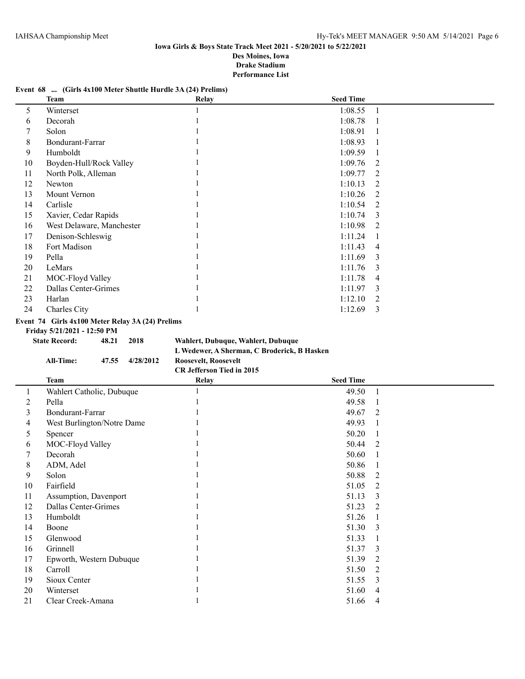# **Event 68 ... (Girls 4x100 Meter Shuttle Hurdle 3A (24) Prelims)**

|    | <b>Team</b>                                      |       |           | Relay                                       | <b>Seed Time</b> |                |
|----|--------------------------------------------------|-------|-----------|---------------------------------------------|------------------|----------------|
| 5  | Winterset                                        |       |           |                                             | 1:08.55          | $\mathbf{1}$   |
| 6  | Decorah                                          |       |           |                                             | 1:08.78          | 1              |
| 7  | Solon                                            |       |           |                                             | 1:08.91          | 1              |
| 8  | Bondurant-Farrar                                 |       |           |                                             | 1:08.93          | 1              |
| 9  | Humboldt                                         |       |           |                                             | 1:09.59          | 1              |
| 10 | Boyden-Hull/Rock Valley                          |       |           |                                             | 1:09.76          | 2              |
| 11 | North Polk, Alleman                              |       |           |                                             | 1:09.77          | 2              |
| 12 | Newton                                           |       |           |                                             | 1:10.13          | 2              |
| 13 | Mount Vernon                                     |       |           |                                             | 1:10.26          | $\overline{2}$ |
| 14 | Carlisle                                         |       |           |                                             | 1:10.54          | $\overline{2}$ |
| 15 | Xavier, Cedar Rapids                             |       |           |                                             | 1:10.74          | 3              |
| 16 | West Delaware, Manchester                        |       |           |                                             | 1:10.98          | $\overline{2}$ |
| 17 | Denison-Schleswig                                |       |           |                                             | 1:11.24          | 1              |
| 18 | Fort Madison                                     |       |           |                                             | 1:11.43          | 4              |
| 19 | Pella                                            |       |           |                                             | 1:11.69          | 3              |
| 20 | LeMars                                           |       |           |                                             | 1:11.76          | 3              |
| 21 | MOC-Floyd Valley                                 |       |           |                                             | 1:11.78          | 4              |
| 22 | Dallas Center-Grimes                             |       |           |                                             | 1:11.97          | 3              |
| 23 | Harlan                                           |       |           |                                             | 1:12.10          | $\overline{2}$ |
| 24 | Charles City                                     |       |           |                                             | 1:12.69          | 3              |
|    | Event 74 Girls 4x100 Meter Relay 3A (24) Prelims |       |           |                                             |                  |                |
|    | Friday 5/21/2021 - 12:50 PM                      |       |           |                                             |                  |                |
|    | <b>State Record:</b>                             | 48.21 | 2018      | Wahlert, Dubuque, Wahlert, Dubuque          |                  |                |
|    |                                                  |       |           | L Wedewer, A Sherman, C Broderick, B Hasken |                  |                |
|    | <b>All-Time:</b>                                 | 47.55 | 4/28/2012 | Roosevelt, Roosevelt                        |                  |                |
|    |                                                  |       |           | CR Jefferson Tied in 2015                   |                  |                |
|    | <b>Team</b>                                      |       |           | Relay                                       | <b>Seed Time</b> |                |
| 1  | Wahlert Catholic, Dubuque                        |       |           | 1                                           | 49.50            | 1              |
| 2  | Pella                                            |       |           |                                             | 49.58            | 1              |
| 3  | <b>Bondurant-Farrar</b>                          |       |           |                                             | 49.67            | 2              |
| 4  | West Burlington/Notre Dame                       |       |           |                                             | 49.93            | 1              |
| 5  | Spencer                                          |       |           |                                             | 50.20            | $\mathbf{1}$   |
| 6  | MOC-Floyd Valley                                 |       |           |                                             | 50.44            | $\overline{2}$ |
| 7  | Decorah                                          |       |           |                                             | 50.60            | 1              |
| 8  | ADM, Adel                                        |       |           |                                             | 50.86            | 1              |

9 Solon 1 50.88 2 10 Fairfield 1 51.05 2 11 Assumption, Davenport 1 51.13 3 12 Dallas Center-Grimes 1 51.23 2 13 Humboldt 1 51.26 1 14 Boone 1 51.30 3 15 Glenwood 1 51.33 1 16 Grinnell 1 51.37 3 17 Epworth, Western Dubuque 1 51.39 2 18 Carroll 1 51.50 2 19 Sioux Center 1 51.55 3 20 Winterset 1 51.60 4 21 Clear Creek-Amana 1 51.66 4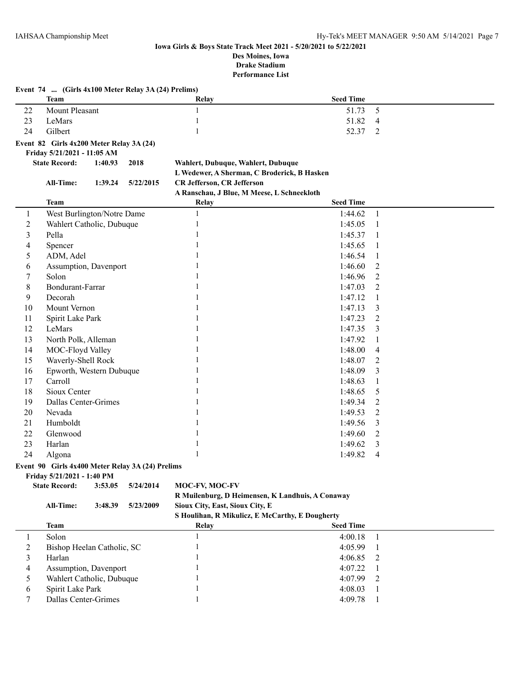|                | Event 74  (Girls 4x100 Meter Relay 3A (24) Prelims) |         |           |                                             |                  |              |  |
|----------------|-----------------------------------------------------|---------|-----------|---------------------------------------------|------------------|--------------|--|
|                | <b>Team</b>                                         |         |           | Relay                                       | <b>Seed Time</b> |              |  |
| 22             | <b>Mount Pleasant</b>                               |         |           | 1                                           | 51.73            | 5            |  |
| 23             | LeMars                                              |         |           | 1                                           | 51.82            | 4            |  |
| 24             | Gilbert                                             |         |           |                                             | 52.37            | 2            |  |
|                | Event 82 Girls 4x200 Meter Relay 3A (24)            |         |           |                                             |                  |              |  |
|                | Friday 5/21/2021 - 11:05 AM                         |         |           |                                             |                  |              |  |
|                | <b>State Record:</b>                                | 1:40.93 | 2018      | Wahlert, Dubuque, Wahlert, Dubuque          |                  |              |  |
|                |                                                     |         |           | L Wedewer, A Sherman, C Broderick, B Hasken |                  |              |  |
|                | All-Time:                                           | 1:39.24 | 5/22/2015 | <b>CR Jefferson, CR Jefferson</b>           |                  |              |  |
|                |                                                     |         |           | A Ranschau, J Blue, M Meese, L Schneekloth  |                  |              |  |
|                | <b>Team</b>                                         |         |           | <b>Relay</b>                                | <b>Seed Time</b> |              |  |
| 1              | West Burlington/Notre Dame                          |         |           | $\mathbf{1}$                                | 1:44.62          | $\mathbf{1}$ |  |
| $\mathfrak 2$  | Wahlert Catholic, Dubuque                           |         |           | 1                                           | 1:45.05          | 1            |  |
| 3              | Pella                                               |         |           |                                             | 1:45.37          | 1            |  |
| $\overline{4}$ | Spencer                                             |         |           |                                             | 1:45.65          | 1            |  |
| 5              | ADM, Adel                                           |         |           |                                             | 1:46.54          | 1            |  |
| 6              | Assumption, Davenport                               |         |           |                                             | 1:46.60          | 2            |  |
| 7              | Solon                                               |         |           |                                             | 1:46.96          | 2            |  |
| $\,8\,$        | <b>Bondurant-Farrar</b>                             |         |           |                                             | 1:47.03          | 2            |  |
| 9              | Decorah                                             |         |           |                                             | 1:47.12          | 1            |  |
| 10             | Mount Vernon                                        |         |           |                                             | 1:47.13          | 3            |  |
| 11             | Spirit Lake Park                                    |         |           |                                             | 1:47.23          | 2            |  |
| 12             | LeMars                                              |         |           |                                             | 1:47.35          | 3            |  |
| 13             | North Polk, Alleman                                 |         |           |                                             | 1:47.92          | 1            |  |
| 14             | MOC-Floyd Valley                                    |         |           |                                             | 1:48.00          | 4            |  |
| 15             | Waverly-Shell Rock                                  |         |           |                                             | 1:48.07          | 2            |  |
| 16             | Epworth, Western Dubuque                            |         |           |                                             | 1:48.09          | 3            |  |
| 17             | Carroll                                             |         |           |                                             | 1:48.63          | 1            |  |
| 18             | Sioux Center                                        |         |           |                                             | 1:48.65          | 5            |  |
| 19             | Dallas Center-Grimes                                |         |           |                                             | 1:49.34          | 2            |  |
| 20             | Nevada                                              |         |           |                                             | 1:49.53          | 2            |  |
| 21             | Humboldt                                            |         |           |                                             | 1:49.56          | 3            |  |
| 22             | Glenwood                                            |         |           |                                             | 1:49.60          | 2            |  |
| 23             | Harlan                                              |         |           |                                             | 1:49.62          | 3            |  |
| 24             | Algona                                              |         |           |                                             | 1:49.82          | 4            |  |

# **Event 90 Girls 4x400 Meter Relay 3A (24) Prelims**

# **Friday 5/21/2021 - 1:40 PM**

| <b>State Record:</b> | 3:53.05 | 5/24/2014 | <b>MOC-FV, MOC-FV</b> |
|----------------------|---------|-----------|-----------------------|
|                      |         |           | R Muilenburg, D He    |
|                      |         |           |                       |

# **R Muilenburg, D Heimensen, K Landhuis, A Conaway All-Time: 3:48.39 5/23/2009 Sioux City, East, Sioux City, E**

**S Houlihan, R Mikulicz, E McCarthy, E Dougherty**

|   | Team                       | Relay | <b>Seed Time</b> |  |
|---|----------------------------|-------|------------------|--|
|   | Solon                      |       | $4:00.18$ 1      |  |
|   | Bishop Heelan Catholic, SC |       | 4:05.99          |  |
|   | Harlan                     |       | $4:06.85$ 2      |  |
| 4 | Assumption, Davenport      |       | 4:07.22          |  |
|   | Wahlert Catholic, Dubuque  |       | $4:07.99$ 2      |  |
| 6 | Spirit Lake Park           |       | 4:08.03          |  |
|   | Dallas Center-Grimes       |       | 4:09.78          |  |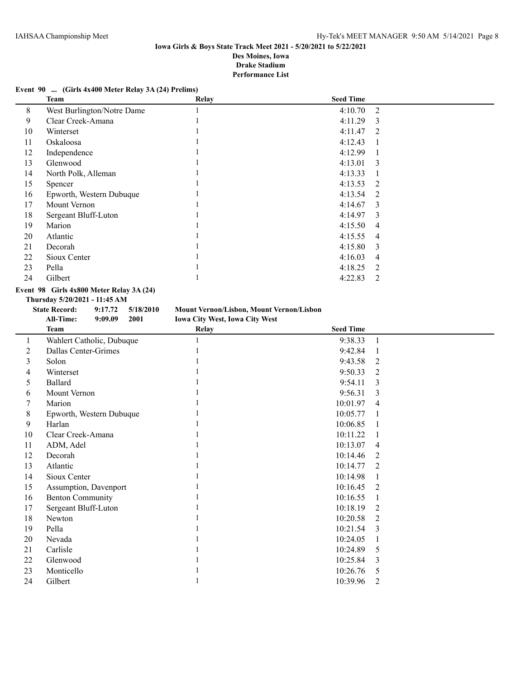# **Event 90 ... (Girls 4x400 Meter Relay 3A (24) Prelims)**

|                            | <b>Relay</b> | <b>Seed Time</b> |                |
|----------------------------|--------------|------------------|----------------|
| West Burlington/Notre Dame |              | 4:10.70          | -2             |
| Clear Creek-Amana          |              | 4:11.29          | -3             |
| Winterset                  |              | 4:11.47          | -2             |
| Oskaloosa                  |              | 4:12.43          | -1             |
| Independence               |              | 4:12.99          | 1              |
| Glenwood                   |              | 4:13.01          | 3              |
| North Polk, Alleman        |              | 4:13.33          | 1              |
| Spencer                    |              | 4:13.53          | 2              |
| Epworth, Western Dubuque   |              | 4:13.54          | 2              |
| Mount Vernon               |              | 4:14.67          | 3              |
| Sergeant Bluff-Luton       |              | 4:14.97          | -3             |
| Marion                     |              | 4:15.50          | $\overline{4}$ |
| Atlantic                   |              | 4:15.55          | $\overline{4}$ |
| Decorah                    |              | 4:15.80          | 3              |
| Sioux Center               |              | 4:16.03          | $\overline{4}$ |
| Pella                      |              | 4:18.25          | 2              |
| Gilbert                    |              | 4:22.83          | 2              |
|                            | Team         |                  |                |

# **Event 98 Girls 4x800 Meter Relay 3A (24)**

**Thursday 5/20/2021 - 11:45 AM**

| <b>State Record:</b> |         | $9:17.72$ $5/18/2010$ | <b>Mount Vernon/Lisbon, Mount Vernon/Lisbon</b> |
|----------------------|---------|-----------------------|-------------------------------------------------|
| All-Time:            | 9:09.09 | 2001                  | <b>Iowa City West, Iowa City West</b>           |
|                      |         |                       |                                                 |

|    | <b>Team</b>               | Relay | <b>Seed Time</b> |                |
|----|---------------------------|-------|------------------|----------------|
|    | Wahlert Catholic, Dubuque |       | 9:38.33          | 1              |
| 2  | Dallas Center-Grimes      |       | 9:42.84          |                |
| 3  | Solon                     |       | 9:43.58          | 2              |
| 4  | Winterset                 |       | 9:50.33          | 2              |
| 5  | Ballard                   |       | 9:54.11          | 3              |
| 6  | Mount Vernon              |       | 9:56.31          | 3              |
| 7  | Marion                    |       | 10:01.97         | $\overline{4}$ |
| 8  | Epworth, Western Dubuque  |       | 10:05.77         |                |
| 9  | Harlan                    |       | 10:06.85         |                |
| 10 | Clear Creek-Amana         |       | 10:11.22         |                |
| 11 | ADM, Adel                 |       | 10:13.07         | $\overline{4}$ |
| 12 | Decorah                   |       | 10:14.46         | 2              |
| 13 | Atlantic                  |       | 10:14.77         | 2              |
| 14 | Sioux Center              |       | 10:14.98         |                |
| 15 | Assumption, Davenport     |       | 10:16.45         | 2              |
| 16 | <b>Benton Community</b>   |       | 10:16.55         |                |
| 17 | Sergeant Bluff-Luton      |       | 10:18.19         | 2              |
| 18 | Newton                    |       | 10:20.58         | 2              |
| 19 | Pella                     |       | 10:21.54         | 3              |
| 20 | Nevada                    |       | 10:24.05         |                |
| 21 | Carlisle                  |       | 10:24.89         | 5              |
| 22 | Glenwood                  |       | 10:25.84         | 3              |
| 23 | Monticello                |       | 10:26.76         | 5              |
| 24 | Gilbert                   |       | 10:39.96         | $\overline{2}$ |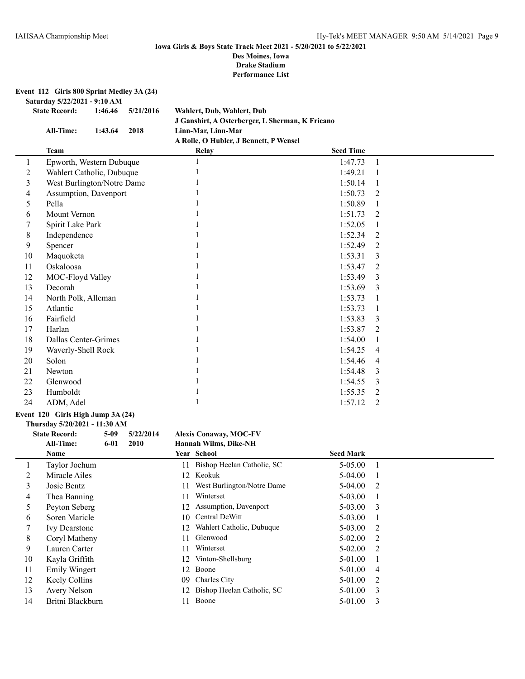**Event 112 Girls 800 Sprint Medley 3A (24)**

**Saturday 5/22/2021 - 9:10 AM**

| <b>State Record:</b> | 1:46.46 | 5/21/2016 | Wahlert, Dub, Wahlert, Dub                      |
|----------------------|---------|-----------|-------------------------------------------------|
|                      |         |           | J Ganshirt, A Osterberger, L Sherman, K Fricano |
| All-Time:            | 1:43.64 | 2018      | Linn-Mar. Linn-Mar                              |
|                      |         |           | A Rolle, O Hubler, J Bennett, P Wensel          |

|    | Team                       | <b>Relay</b> | <b>Seed Time</b> |   |
|----|----------------------------|--------------|------------------|---|
| 1  | Epworth, Western Dubuque   |              | 1:47.73          |   |
| 2  | Wahlert Catholic, Dubuque  |              | 1:49.21          |   |
| 3  | West Burlington/Notre Dame |              | 1:50.14          |   |
| 4  | Assumption, Davenport      |              | 1:50.73          | 2 |
| 5  | Pella                      |              | 1:50.89          |   |
| 6  | Mount Vernon               |              | 1:51.73          | 2 |
| 7  | Spirit Lake Park           |              | 1:52.05          |   |
| 8  | Independence               |              | 1:52.34          | 2 |
| 9  | Spencer                    |              | 1:52.49          | 2 |
| 10 | Maquoketa                  |              | 1:53.31          | 3 |
| 11 | Oskaloosa                  |              | 1:53.47          | 2 |
| 12 | MOC-Floyd Valley           |              | 1:53.49          | 3 |
| 13 | Decorah                    |              | 1:53.69          | 3 |
| 14 | North Polk, Alleman        |              | 1:53.73          |   |
| 15 | Atlantic                   |              | 1:53.73          |   |
| 16 | Fairfield                  |              | 1:53.83          | 3 |
| 17 | Harlan                     |              | 1:53.87          | 2 |
| 18 | Dallas Center-Grimes       |              | 1:54.00          |   |
| 19 | Waverly-Shell Rock         |              | 1:54.25          | 4 |
| 20 | Solon                      |              | 1:54.46          | 4 |
| 21 | Newton                     |              | 1:54.48          | 3 |
| 22 | Glenwood                   |              | 1:54.55          | 3 |
| 23 | Humboldt                   |              | 1:55.35          | 2 |
| 24 | ADM, Adel                  |              | 1:57.12          | 2 |

#### **Event 120 Girls High Jump 3A (24)**

**Thursday 5/20/2021 - 11:30 AM**

## **State Record: 5-09 5/22/2014 Alexis Conaway, MOC-FV**<br>**All-Time: 6-01 2010 Hannah Wilms, Dike-NH All-Time: 6-01 2010 Hannah Wilms, Dike-NH**

|    | Name                 |     | Year School                   | <b>Seed Mark</b> |                           |
|----|----------------------|-----|-------------------------------|------------------|---------------------------|
|    | Taylor Jochum        | 11  | Bishop Heelan Catholic, SC    | 5-05.00          |                           |
|    | Miracle Ailes        |     | 12 Keokuk                     | $5-04.00$        |                           |
| 3  | Josie Bentz          | 11  | West Burlington/Notre Dame    | $5-04.00$ 2      |                           |
| 4  | Thea Banning         | 11  | Winterset                     | $5-03.00$        |                           |
| 5. | Peyton Seberg        |     | 12 Assumption, Davenport      | $5-03.00$ 3      |                           |
| 6  | Soren Maricle        |     | 10 Central DeWitt             | $5-03.00$        |                           |
|    | <b>Ivy Dearstone</b> | 12  | Wahlert Catholic, Dubuque     | $5 - 03.00$      | 2                         |
| 8  | Coryl Matheny        | 11  | Glenwood                      | $5-02.00$        | $\overline{2}$            |
| 9  | Lauren Carter        | 11  | Winterset                     | $5 - 02.00$      | 2                         |
| 10 | Kayla Griffith       |     | 12 Vinton-Shellsburg          | 5-01.00          |                           |
| 11 | Emily Wingert        | 12  | Boone                         | 5-01.00          | -4                        |
| 12 | Keely Collins        | 09. | Charles City                  | $5-01.00$ 2      |                           |
| 13 | Avery Nelson         |     | 12 Bishop Heelan Catholic, SC | 5-01.00          | $\overline{\phantom{a}3}$ |
| 14 | Britni Blackburn     | 11  | Boone                         | 5-01.00          | -3                        |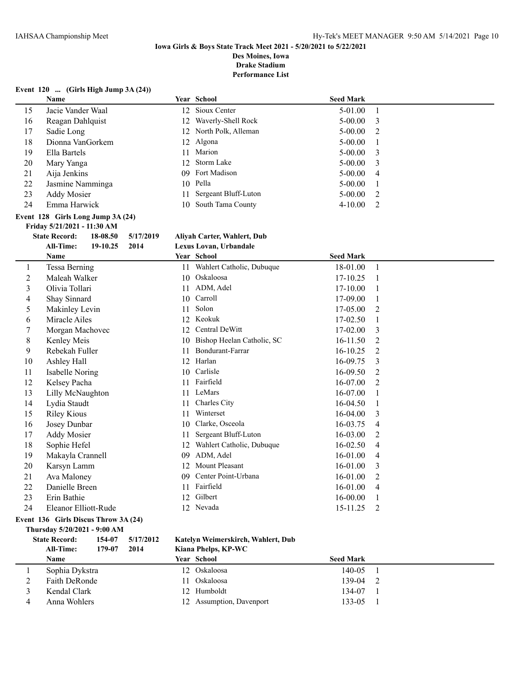**Performance List**

# **Event 120 ... (Girls High Jump 3A (24))**

|                         | Name                                          |    | Year School                  | <b>Seed Mark</b> |                |
|-------------------------|-----------------------------------------------|----|------------------------------|------------------|----------------|
| 15                      | Jacie Vander Waal                             |    | 12 Sioux Center              | 5-01.00          | $\mathbf{1}$   |
| 16                      | Reagan Dahlquist                              |    | 12 Waverly-Shell Rock        | $5 - 00.00$      | 3              |
| 17                      | Sadie Long                                    |    | 12 North Polk, Alleman       | 5-00.00          | 2              |
| $18\,$                  | Dionna VanGorkem                              |    | 12 Algona                    | $5 - 00.00$      | 1              |
| 19                      | Ella Bartels                                  | 11 | Marion                       | 5-00.00          | 3              |
| 20                      | Mary Yanga                                    |    | 12 Storm Lake                | $5 - 00.00$      | 3              |
| 21                      | Aija Jenkins                                  | 09 | Fort Madison                 | $5 - 00.00$      | $\overline{4}$ |
| 22                      | Jasmine Namminga                              |    | 10 Pella                     | 5-00.00          | 1              |
| 23                      | <b>Addy Mosier</b>                            | 11 | Sergeant Bluff-Luton         | 5-00.00          | 2              |
| 24                      | Emma Harwick                                  | 10 | South Tama County            | 4-10.00          | $\overline{2}$ |
|                         | Event 128 Girls Long Jump 3A (24)             |    |                              |                  |                |
|                         | Friday 5/21/2021 - 11:30 AM                   |    |                              |                  |                |
|                         | <b>State Record:</b><br>18-08.50<br>5/17/2019 |    | Aliyah Carter, Wahlert, Dub  |                  |                |
|                         | All-Time:<br>2014<br>19-10.25                 |    | Lexus Lovan, Urbandale       |                  |                |
|                         | Name                                          |    | Year School                  | <b>Seed Mark</b> |                |
| $\mathbf{1}$            | Tessa Berning                                 |    | 11 Wahlert Catholic, Dubuque | 18-01.00         | $\mathbf{1}$   |
| $\overline{c}$          | Maleah Walker                                 |    | 10 Oskaloosa                 | 17-10.25         | $\mathbf{1}$   |
| $\overline{\mathbf{3}}$ | Olivia Tollari                                |    | 11 ADM, Adel                 | 17-10.00         | 1              |
| 4                       | Shay Sinnard                                  | 10 | Carroll                      | 17-09.00         | $\mathbf{1}$   |
| 5                       | Makinley Levin                                | 11 | Solon                        | 17-05.00         | $\overline{2}$ |
| 6                       | Miracle Ailes                                 |    | 12 Keokuk                    | 17-02.50         | $\mathbf{1}$   |
| 7                       | Morgan Machovec                               |    | 12 Central DeWitt            | 17-02.00         | 3              |
| $\,$ 8 $\,$             | Kenley Meis                                   | 10 | Bishop Heelan Catholic, SC   | 16-11.50         | $\overline{2}$ |
| 9                       | Rebekah Fuller                                | 11 | Bondurant-Farrar             | 16-10.25         | $\overline{2}$ |
| 10                      | Ashley Hall                                   |    | 12 Harlan                    | 16-09.75         | 3              |
| 11                      | <b>Isabelle Noring</b>                        |    | 10 Carlisle                  | 16-09.50         | 2              |
| 12                      | Kelsey Pacha                                  |    | 11 Fairfield                 | 16-07.00         | 2              |
| 13                      | Lilly McNaughton                              |    | 11 LeMars                    | 16-07.00         | $\mathbf{1}$   |
| 14                      | Lydia Staudt                                  | 11 | Charles City                 | 16-04.50         | $\mathbf{1}$   |
| 15                      | <b>Riley Kious</b>                            |    | 11 Winterset                 | 16-04.00         | 3              |
| 16                      | Josey Dunbar                                  |    | 10 Clarke, Osceola           | 16-03.75         | 4              |
| 17                      | <b>Addy Mosier</b>                            | 11 | Sergeant Bluff-Luton         | 16-03.00         | $\overline{2}$ |
| 18                      | Sophie Hefel                                  |    | 12 Wahlert Catholic, Dubuque | 16-02.50         | $\overline{4}$ |
| 19                      | Makayla Crannell                              | 09 | ADM, Adel                    | 16-01.00         | $\overline{4}$ |
| 20                      | Karsyn Lamm                                   |    | 12 Mount Pleasant            | 16-01.00         | 3              |
| 21                      | Ava Maloney                                   | 09 | Center Point-Urbana          | 16-01.00         | $\overline{2}$ |
| 22                      | Danielle Breen                                |    | 11 Fairfield                 | 16-01.00         | $\overline{4}$ |
| 23                      | Erin Bathie                                   |    | 12 Gilbert                   | 16-00.00         | $\mathbf{1}$   |
| 24                      | Eleanor Elliott-Rude                          |    | 12 Nevada                    | 15-11.25         | $\overline{2}$ |
|                         | Event 136 Girls Discus Throw 3A (24)          |    |                              |                  |                |
|                         | Thursday 5/20/2021 - 9:00 AM                  |    |                              |                  |                |

|                             | <b>All-Time:</b><br><b>Name</b> | 154-07<br>179-07     | 5/17/2012<br>2014                              | Kat<br>Kia<br>Yea |
|-----------------------------|---------------------------------|----------------------|------------------------------------------------|-------------------|
|                             |                                 |                      |                                                |                   |
| $\mathcal{D}_{\mathcal{L}}$ | Faith DeRonde                   |                      |                                                |                   |
| 3                           |                                 |                      |                                                |                   |
| 4                           |                                 |                      |                                                |                   |
|                             |                                 | <b>State Record:</b> | Sophia Dykstra<br>Kendal Clark<br>Anna Wohlers |                   |

## **State Record: 154-07 5/17/2012 Katelyn Weimerskirch, Wahlert, Dub All-Time: 179-07 2014 Kiana Phelps, KP-WC**

| Name           |  | <b>Seed Mark</b>                                                                            |  |
|----------------|--|---------------------------------------------------------------------------------------------|--|
| Sophia Dykstra |  | 140-05                                                                                      |  |
| Faith DeRonde  |  | 139-04                                                                                      |  |
| Kendal Clark   |  | 134-07                                                                                      |  |
| Anna Wohlers   |  | 133-05                                                                                      |  |
|                |  | <b>Year School</b><br>12 Oskaloosa<br>Oskaloosa<br>12. Humboldt<br>12 Assumption, Davenport |  |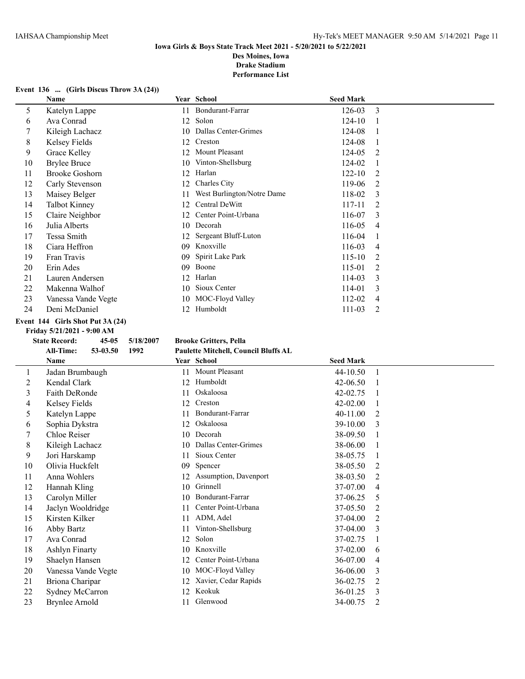## **Iowa Girls & Boys State Track Meet 2021 - 5/20/2021 to 5/22/2021 Des Moines, Iowa**

**Drake Stadium**

**Performance List**

#### **Event 136 ... (Girls Discus Throw 3A (24))**

|    | Name                  |     | Year School                | <b>Seed Mark</b> |   |
|----|-----------------------|-----|----------------------------|------------------|---|
| 5  | Katelyn Lappe         | 11  | Bondurant-Farrar           | 126-03           | 3 |
| 6  | Ava Conrad            | 12  | Solon                      | $124-10$         |   |
| 7  | Kileigh Lachacz       | 10. | Dallas Center-Grimes       | 124-08           |   |
| 8  | Kelsey Fields         | 12  | Creston                    | 124-08           |   |
| 9  | Grace Kelley          | 12. | Mount Pleasant             | 124-05           | 2 |
| 10 | <b>Brylee Bruce</b>   | 10  | Vinton-Shellsburg          | 124-02           |   |
| 11 | <b>Brooke Goshorn</b> | 12  | Harlan                     | $122 - 10$       | 2 |
| 12 | Carly Stevenson       | 12  | Charles City               | 119-06           | 2 |
| 13 | Maisey Belger         | 11  | West Burlington/Notre Dame | 118-02           | 3 |
| 14 | Talbot Kinney         | 12  | Central DeWitt             | 117-11           | 2 |
| 15 | Claire Neighbor       | 12. | Center Point-Urbana        | 116-07           | 3 |
| 16 | Julia Alberts         | 10  | Decorah                    | 116-05           | 4 |
| 17 | Tessa Smith           |     | Sergeant Bluff-Luton       | 116-04           |   |
| 18 | Ciara Heffron         | 09  | Knoxville                  | 116-03           | 4 |
| 19 | Fran Travis           | 09  | Spirit Lake Park           | $115 - 10$       | 2 |
| 20 | Erin Ades             | 09  | Boone                      | 115-01           | 2 |
| 21 | Lauren Andersen       | 12  | Harlan                     | 114-03           | 3 |
| 22 | Makenna Walhof        | 10  | Sioux Center               | 114-01           | 3 |
| 23 | Vanessa Vande Vegte   | 10  | MOC-Floyd Valley           | 112-02           | 4 |
| 24 | Deni McDaniel         | 12  | Humboldt                   | 111-03           | 2 |

## **Event 144 Girls Shot Put 3A (24) Friday 5/21/2021 - 9:00 AM**

# **State Record: 45-05 5/18/2007 Brooke Gritters, Pella**

# **All-Time: 53-03.50 1992 Paulette Mitchell, Council Bluffs AL**

|    | Name                  |     | Year School           | <b>Seed Mark</b> |                               |
|----|-----------------------|-----|-----------------------|------------------|-------------------------------|
| 1  | Jadan Brumbaugh       | 11  | Mount Pleasant        | 44-10.50         |                               |
| 2  | Kendal Clark          | 12  | Humboldt              | $42 - 06.50$     |                               |
| 3  | Faith DeRonde         | 11  | Oskaloosa             | 42-02.75         |                               |
| 4  | Kelsey Fields         | 12  | Creston               | $42 - 02.00$     |                               |
| 5  | Katelyn Lappe         | 11  | Bondurant-Farrar      | 40-11.00         | 2                             |
| 6  | Sophia Dykstra        | 12  | Oskaloosa             | 39-10.00         | 3                             |
| 7  | Chloe Reiser          | 10  | Decorah               | 38-09.50         |                               |
| 8  | Kileigh Lachacz       | 10  | Dallas Center-Grimes  | 38-06.00         |                               |
| 9  | Jori Harskamp         | 11  | Sioux Center          | 38-05.75         |                               |
| 10 | Olivia Huckfelt       | 09  | Spencer               | 38-05.50         | 2                             |
| 11 | Anna Wohlers          | 12  | Assumption, Davenport | 38-03.50         | 2                             |
| 12 | Hannah Kling          | 10  | Grinnell              | 37-07.00         | 4                             |
| 13 | Carolyn Miller        | 10  | Bondurant-Farrar      | 37-06.25         | 5                             |
| 14 | Jaclyn Wooldridge     | 11  | Center Point-Urbana   | 37-05.50         |                               |
| 15 | Kirsten Kilker        | 11  | ADM, Adel             | 37-04.00         | 2                             |
| 16 | Abby Bartz            | 11  | Vinton-Shellsburg     | 37-04.00         | $\mathcal{E}$                 |
| 17 | Ava Conrad            | 12  | Solon                 | 37-02.75         |                               |
| 18 | <b>Ashlyn Finarty</b> | 10  | Knoxville             | 37-02.00         | 6                             |
| 19 | Shaelyn Hansen        |     | Center Point-Urbana   | 36-07.00         | 4                             |
| 20 | Vanessa Vande Vegte   | 10  | MOC-Floyd Valley      | 36-06.00         | 3                             |
| 21 | Briona Charipar       | 12  | Xavier, Cedar Rapids  | 36-02.75         | $\mathfrak{D}_{\mathfrak{p}}$ |
| 22 | Sydney McCarron       | 12. | Keokuk                | 36-01.25         | 3                             |
| 23 | Brynlee Arnold        | 11  | Glenwood              | 34-00.75         | 2                             |